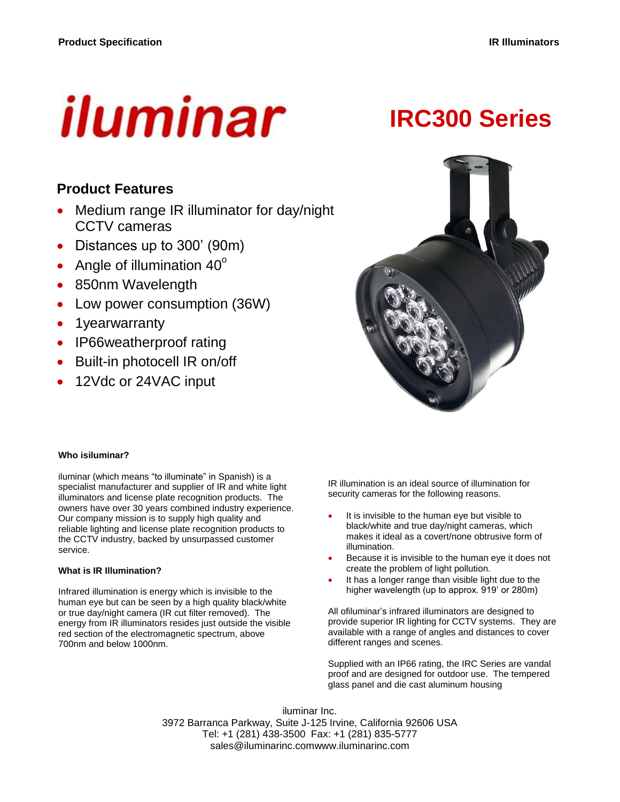# iluminar

# **IRC300 Series**

# **Product Features**

- Medium range IR illuminator for day/night CCTV cameras
- Distances up to 300' (90m)
- Angle of illumination  $40^\circ$
- 850nm Wavelength
- Low power consumption (36W)
- 1yearwarranty
- IP66weatherproof rating
- Built-in photocell IR on/off
- 12Vdc or 24VAC input



#### **Who isiluminar?**

iluminar (which means "to illuminate" in Spanish) is a specialist manufacturer and supplier of IR and white light illuminators and license plate recognition products. The owners have over 30 years combined industry experience. Our company mission is to supply high quality and reliable lighting and license plate recognition products to the CCTV industry, backed by unsurpassed customer service.

#### **What is IR Illumination?**

Infrared illumination is energy which is invisible to the human eye but can be seen by a high quality black/white or true day/night camera (IR cut filter removed). The energy from IR illuminators resides just outside the visible red section of the electromagnetic spectrum, above 700nm and below 1000nm.

IR illumination is an ideal source of illumination for security cameras for the following reasons.

- It is invisible to the human eye but visible to black/white and true day/night cameras, which makes it ideal as a covert/none obtrusive form of illumination.
- Because it is invisible to the human eye it does not create the problem of light pollution.
- It has a longer range than visible light due to the higher wavelength (up to approx. 919' or 280m)

All ofiluminar's infrared illuminators are designed to provide superior IR lighting for CCTV systems. They are available with a range of angles and distances to cover different ranges and scenes.

Supplied with an IP66 rating, the IRC Series are vandal proof and are designed for outdoor use. The tempered glass panel and die cast aluminum housing

iluminar Inc. 3972 Barranca Parkway, Suite J-125 Irvine, California 92606 USA Tel: +1 (281) 438-3500 Fax: +1 (281) 835-5777 sales@iluminarinc.comwww.iluminarinc.com